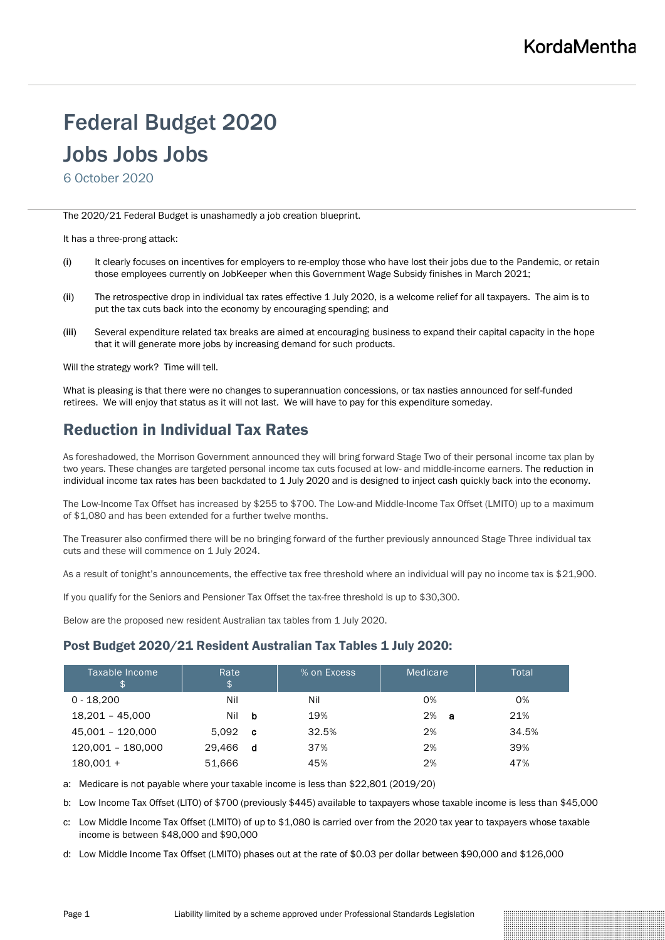# Federal Budget 2020

# Jobs Jobs Jobs

6 October 2020

The 2020/21 Federal Budget is unashamedly a job creation blueprint.

It has a three-prong attack:

- (i) It clearly focuses on incentives for employers to re-employ those who have lost their jobs due to the Pandemic, or retain those employees currently on JobKeeper when this Government Wage Subsidy finishes in March 2021;
- (ii) The retrospective drop in individual tax rates effective 1 July 2020, is a welcome relief for all taxpayers. The aim is to put the tax cuts back into the economy by encouraging spending; and
- (iii) Several expenditure related tax breaks are aimed at encouraging business to expand their capital capacity in the hope that it will generate more jobs by increasing demand for such products.

Will the strategy work? Time will tell.

What is pleasing is that there were no changes to superannuation concessions, or tax nasties announced for self-funded retirees. We will enjoy that status as it will not last. We will have to pay for this expenditure someday.

## Reduction in Individual Tax Rates

As foreshadowed, the Morrison Government announced they will bring forward Stage Two of their personal income tax plan by two years. These changes are targeted personal income tax cuts focused at low- and middle-income earners. The reduction in individual income tax rates has been backdated to 1 July 2020 and is designed to inject cash quickly back into the economy.

The Low-Income Tax Offset has increased by \$255 to \$700. The Low-and Middle-Income Tax Offset (LMITO) up to a maximum of \$1,080 and has been extended for a further twelve months.

The Treasurer also confirmed there will be no bringing forward of the further previously announced Stage Three individual tax cuts and these will commence on 1 July 2024.

As a result of tonight's announcements, the effective tax free threshold where an individual will pay no income tax is \$21,900.

If you qualify for the Seniors and Pensioner Tax Offset the tax-free threshold is up to \$30,300.

Below are the proposed new resident Australian tax tables from 1 July 2020.

#### Post Budget 2020/21 Resident Australian Tax Tables 1 July 2020:

| Taxable Income<br>\$ | Rate<br>\$ |          | % on Excess | Medicare | Total |
|----------------------|------------|----------|-------------|----------|-------|
| $0 - 18.200$         | Nil        |          | Nil         | 0%       | 0%    |
| 18,201 - 45,000      | Nil        | b        | 19%         | 2%<br>-a | 21%   |
| 45,001 - 120,000     | 5.092      | <b>C</b> | 32.5%       | 2%       | 34.5% |
| 120,001 - 180,000    | 29.466     | d        | 37%         | 2%       | 39%   |
| $180,001 +$          | 51.666     |          | 45%         | 2%       | 47%   |

a: Medicare is not payable where your taxable income is less than \$22,801 (2019/20)

b: Low Income Tax Offset (LITO) of \$700 (previously \$445) available to taxpayers whose taxable income is less than \$45,000

c: Low Middle Income Tax Offset (LMITO) of up to \$1,080 is carried over from the 2020 tax year to taxpayers whose taxable income is between \$48,000 and \$90,000

d: Low Middle Income Tax Offset (LMITO) phases out at the rate of \$0.03 per dollar between \$90,000 and \$126,000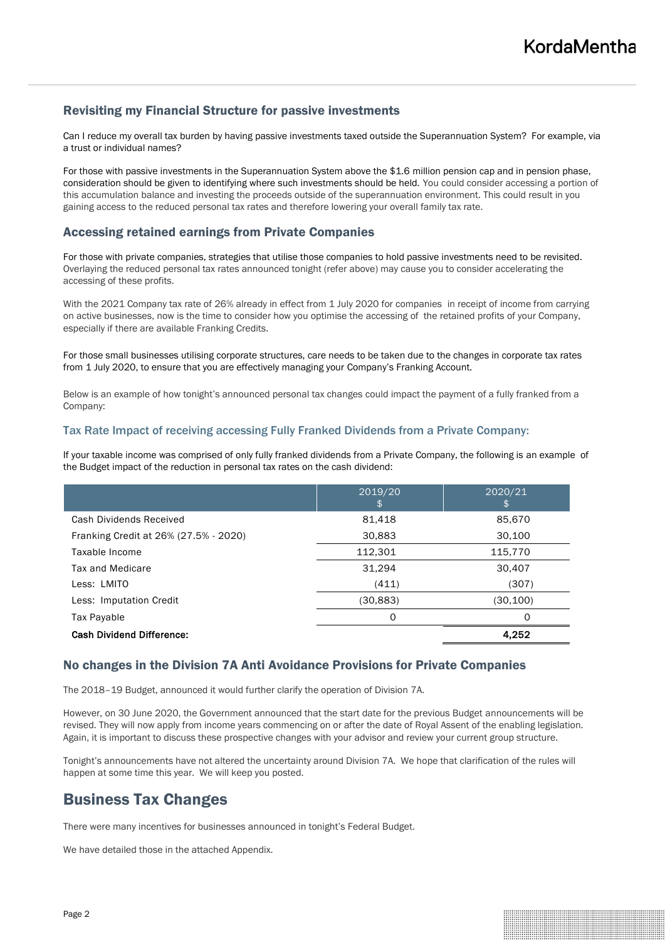#### Revisiting my Financial Structure for passive investments

Can I reduce my overall tax burden by having passive investments taxed outside the Superannuation System? For example, via a trust or individual names?

For those with passive investments in the Superannuation System above the \$1.6 million pension cap and in pension phase, consideration should be given to identifying where such investments should be held. You could consider accessing a portion of this accumulation balance and investing the proceeds outside of the superannuation environment. This could result in you gaining access to the reduced personal tax rates and therefore lowering your overall family tax rate.

#### Accessing retained earnings from Private Companies

For those with private companies, strategies that utilise those companies to hold passive investments need to be revisited. Overlaying the reduced personal tax rates announced tonight (refer above) may cause you to consider accelerating the accessing of these profits.

With the 2021 Company tax rate of 26% already in effect from 1 July 2020 for companies in receipt of income from carrying on active businesses, now is the time to consider how you optimise the accessing of the retained profits of your Company, especially if there are available Franking Credits.

For those small businesses utilising corporate structures, care needs to be taken due to the changes in corporate tax rates from 1 July 2020, to ensure that you are effectively managing your Company's Franking Account.

Below is an example of how tonight's announced personal tax changes could impact the payment of a fully franked from a Company:

#### Tax Rate Impact of receiving accessing Fully Franked Dividends from a Private Company:

If your taxable income was comprised of only fully franked dividends from a Private Company, the following is an example of the Budget impact of the reduction in personal tax rates on the cash dividend:

|                                       | 2019/20<br>\$ | 2020/21  |
|---------------------------------------|---------------|----------|
| Cash Dividends Received               | 81,418        | 85,670   |
| Franking Credit at 26% (27.5% - 2020) | 30,883        | 30,100   |
| Taxable Income                        | 112,301       | 115,770  |
| Tax and Medicare                      | 31,294        | 30,407   |
| Less: LMITO                           | (411)         | (307)    |
| Less: Imputation Credit               | (30,883)      | (30,100) |
| Tax Payable                           | 0             | 0        |
| <b>Cash Dividend Difference:</b>      |               | 4,252    |

#### No changes in the Division 7A Anti Avoidance Provisions for Private Companies

The 2018–19 Budget, announced it would further clarify the operation of Division 7A.

However, on 30 June 2020, the Government announced that the start date for the previous Budget announcements will be revised. They will now apply from income years commencing on or after the date of Royal Assent of the enabling legislation. Again, it is important to discuss these prospective changes with your advisor and review your current group structure.

Tonight's announcements have not altered the uncertainty around Division 7A. We hope that clarification of the rules will happen at some time this year. We will keep you posted.

### Business Tax Changes

There were many incentives for businesses announced in tonight's Federal Budget.

We have detailed those in the attached Appendix.